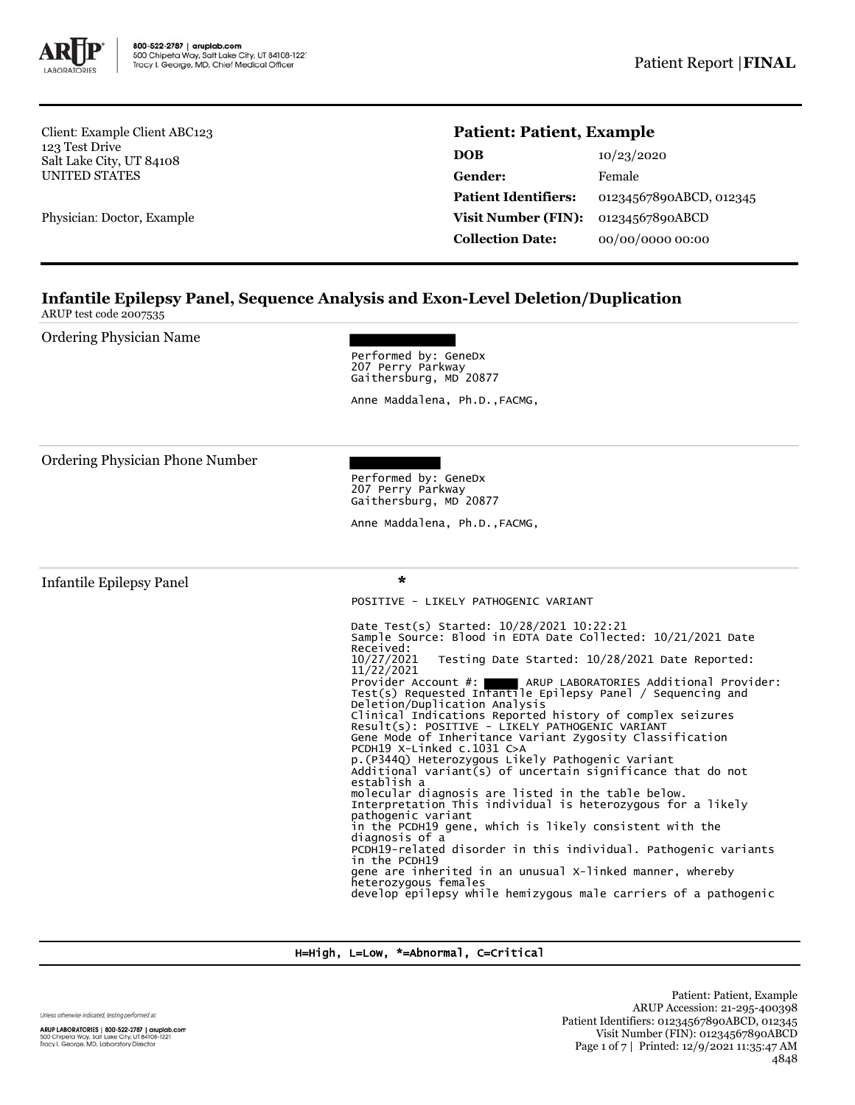

Client: Example Client ABC123 123 Test Drive Salt Lake City, UT 84108 UNITED STATES

Physician: Doctor, Example

# **Patient: Patient, Example**

| DOB                         | 10/23/2020              |  |
|-----------------------------|-------------------------|--|
| Gender:                     | Female                  |  |
| <b>Patient Identifiers:</b> | 01234567890ABCD, 012345 |  |
| Visit Number (FIN):         | 01234567890ABCD         |  |
| <b>Collection Date:</b>     | 00/00/0000 00:00        |  |

## **Infantile Epilepsy Panel, Sequence Analysis and Exon-Level Deletion/Duplication** ARUP test code 2007535

Ordering Physician Name

Performed by: GeneDx 207 Perry Parkway Gaithersburg, MD 20877

Anne Maddalena, Ph.D.,FACMG,

Ordering Physician Phone Number

Performed by: GeneDx 207 Perry Parkway Gaithersburg, MD 20877

Anne Maddalena, Ph.D.,FACMG,

Infantile Epilepsy Panel \*

POSITIVE - LIKELY PATHOGENIC VARIANT

Date Test(s) Started: 10/28/2021 10:22:21 Sample Source: Blood in EDTA Date Collected: 10/21/2021 Date Received:<br>10/27/2021 Testing Date Started: 10/28/2021 Date Reported: 11/22/2021 Provider Account #: ARUP LABORATORIES Additional Provider: Test(s) Requested Infantile Epilepsy Panel / Sequencing and Deletion/Duplication Analysis Clinical Indications Reported history of complex seizures Result(s): POSITIVE - LIKELY PATHOGENIC VARIANT Gene Mode of Inheritance Variant Zygosity Classification PCDH19 X-Linked c.1031 C>A p.(P344Q) Heterozygous Likely Pathogenic Variant Additional variant(s) of uncertain significance that do not establish a molecular diagnosis are listed in the table below. Interpretation This individual is heterozygous for a likely pathogenic variant in the PCDH19 gene, which is likely consistent with the diagnosis of a PCDH19-related disorder in this individual. Pathogenic variants in the PCDH19 gene are inherited in an unusual X-linked manner, whereby heterozygous females develop epilepsy while hemizygous male carriers of a pathogenic

H=High, L=Low, \*=Abnormal, C=Critical

Unless otherwise indicated, testing performed at:

ARUP LABORATORIES | 800-522-2787 | aruplab.com<br>500 Chipeta Way, Salt Lake City, UT 84108-1221<br>Tracy I. George, MD, Laboratory Director

Patient: Patient, Example ARUP Accession: 21-295-400398 Patient Identifiers: 01234567890ABCD, 012345 Visit Number (FIN): 01234567890ABCD Page 1 of 7 | Printed: 12/9/2021 11:35:47 AM 4848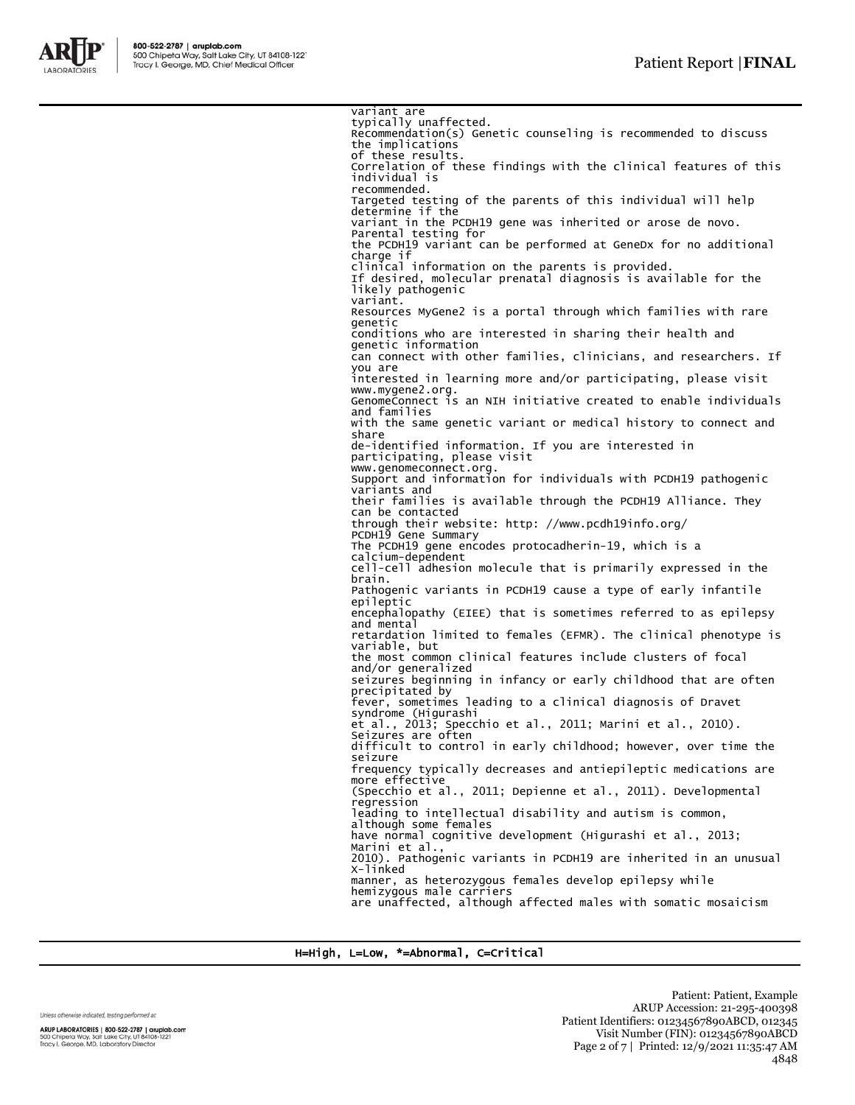

variant are typically unaffected. Recommendation(s) Genetic counseling is recommended to discuss the implications of these results. Correlation of these findings with the clinical features of this individual is recommended. Targeted testing of the parents of this individual will help determine if the variant in the PCDH19 gene was inherited or arose de novo. Parental testing for the PCDH19 variant can be performed at GeneDx for no additional charge if clinical information on the parents is provided. If desired, molecular prenatal diagnosis is available for the likely pathogenic variant. Resources MyGene2 is a portal through which families with rare genetic conditions who are interested in sharing their health and genetic information can connect with other families, clinicians, and researchers. If you are interested in learning more and/or participating, please visit www.mygene2.org. GenomeConnect is an NIH initiative created to enable individuals and families with the same genetic variant or medical history to connect and share de-identified information. If you are interested in participating, please visit www.genomeconnect.org. Support and information for individuals with PCDH19 pathogenic variants and their families is available through the PCDH19 Alliance. They can be contacted through their website: http: //www.pcdh19info.org/ PCDH19 Gene Summary The PCDH19 gene encodes protocadherin-19, which is a calcium-dependent cell-cell adhesion molecule that is primarily expressed in the brain. Pathogenic variants in PCDH19 cause a type of early infantile epileptic encephalopathy (EIEE) that is sometimes referred to as epilepsy and mental retardation limited to females (EFMR). The clinical phenotype is variable, but the most common clinical features include clusters of focal and/or generalized seizures beginning in infancy or early childhood that are often precipitated by fever, sometimes leading to a clinical diagnosis of Dravet syndrome (Higurashi et al., 2013; Specchio et al., 2011; Marini et al., 2010). Seizures are often difficult to control in early childhood; however, over time the seizure frequency typically decreases and antiepileptic medications are more effective (Specchio et al., 2011; Depienne et al., 2011). Developmental regression leading to intellectual disability and autism is common, although some females have normal cognitive development (Higurashi et al., 2013; Marini et al. 2010). Pathogenic variants in PCDH19 are inherited in an unusual X-linked manner, as heterozygous females develop epilepsy while hemizygous male carriers are unaffected, although affected males with somatic mosaicism

H=High, L=Low, \*=Abnormal, C=Critical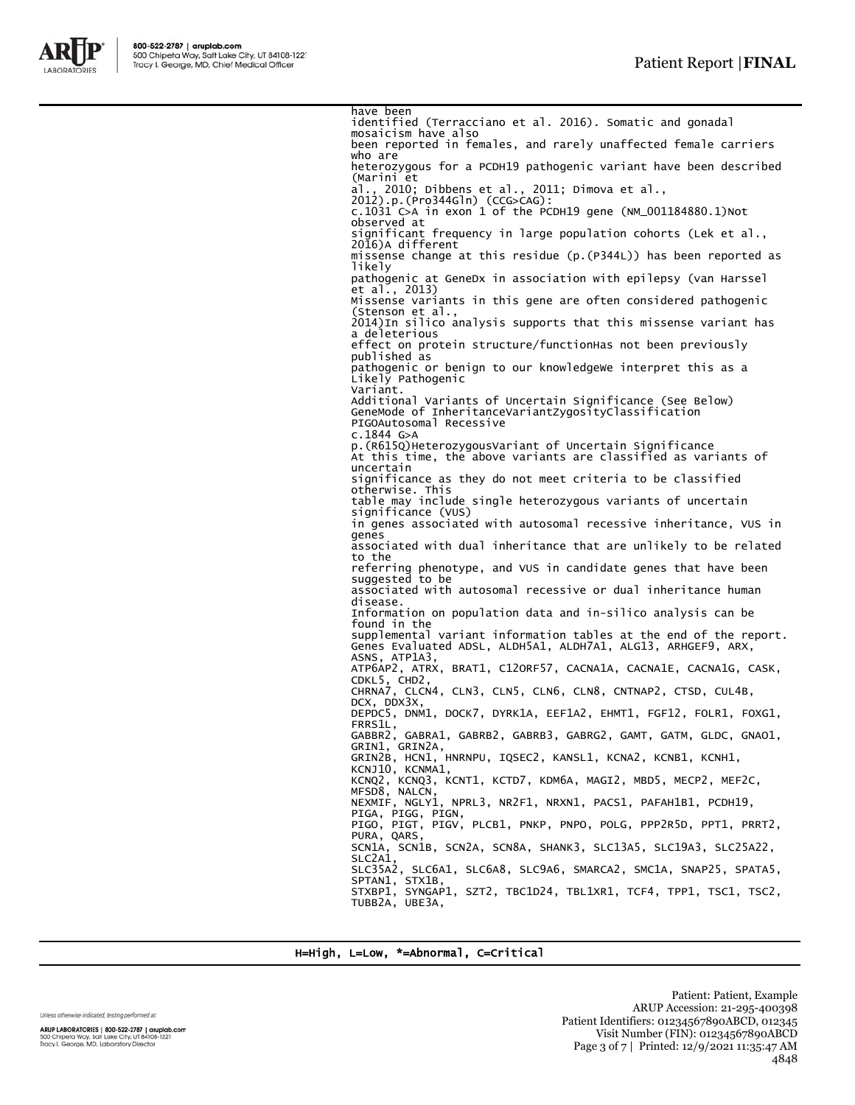

have been identified (Terracciano et al. 2016). Somatic and gonadal mosaicism have also been reported in females, and rarely unaffected female carriers who are heterozygous for a PCDH19 pathogenic variant have been described (Marini et al., 2010; Dibbens et al., 2011; Dimova et al., 2012).p.(Pro344Gln) (CCG>CAG): c.1031 C>A in exon 1 of the PCDH19 gene (NM\_001184880.1)Not observed at significant frequency in large population cohorts (Lek et al., 2016)A different missense change at this residue (p.(P344L)) has been reported as likely pathogenic at GeneDx in association with epilepsy (van Harssel et al., 2013) Missense variants in this gene are often considered pathogenic (Stenson et al., 2014)In silico analysis supports that this missense variant has a deleterious effect on protein structure/functionHas not been previously published as pathogenic or benign to our knowledgeWe interpret this as a Likely Pathogenic Variant. Additional Variants of Uncertain Significance (See Below) GeneMode of InheritanceVariantZygosityClassification PIGOAutosomal Recessive c.1844 G>A p.(R615Q)HeterozygousVariant of Uncertain Significance At this time, the above variants are classified as variants of uncertain significance as they do not meet criteria to be classified otherwise. This table may include single heterozygous variants of uncertain significance (VUS) in genes associated with autosomal recessive inheritance, VUS in genes associated with dual inheritance that are unlikely to be related to the referring phenotype, and VUS in candidate genes that have been suggested to be associated with autosomal recessive or dual inheritance human disease. Information on population data and in-silico analysis can be found in the supplemental variant information tables at the end of the report. Genes Evaluated ADSL, ALDH5A1, ALDH7A1, ALG13, ARHGEF9, ARX, ASNS, ATP1A3, ATP6AP2, ATRX, BRAT1, C12ORF57, CACNA1A, CACNA1E, CACNA1G, CASK,<br>CDKL5, CHD2,<br>CHRNA7, CLCN4, CLN3, CLN5, CLN6, CLN8, CNTNAP2, CTSD, CUL4B, DCX, DDX3X DEPDC5, DNM1, DOCK7, DYRK1A, EEF1A2, EHMT1, FGF12, FOLR1, FOXG1, FRRS1L, GABBR2, GABRA1, GABRB2, GABRB3, GABRG2, GAMT, GATM, GLDC, GNAO1, GRIN1, GRIN2A, GRIN2B, HCN1, HNRNPU, IQSEC2, KANSL1, KCNA2, KCNB1, KCNH1, KCNJ10, KCNMA1, KCNQ2, KCNQ3, KCNT1, KCTD7, KDM6A, MAGI2, MBD5, MECP2, MEF2C, MFSD8, NALCN, NEXMIF, NGLY1, NPRL3, NR2F1, NRXN1, PACS1, PAFAH1B1, PCDH19,<br>PIGA, PIGG, PIGN,<br>PIGO, PIGT, PIGV, PLCB1, PNKP, PNPO, POLG, PPP2R5D, PPT1, PRRT2,<br>PURA, QARS, PURA, QARS,<br>SCN1A, SCN1B, SCN2A, SCN8A, SHANK3, SLC13A5, SLC19A3, SLC25A22, SLC<sub>2A1</sub> SLC35A2, SLC6A1, SLC6A8, SLC9A6, SMARCA2, SMC1A, SNAP25, SPATA5, SPTAN1, STX1B, STXBP1, SYNGAP1, SZT2, TBC1D24, TBL1XR1, TCF4, TPP1, TSC1, TSC2, TUBB2A, UBE3A,

H=High, L=Low, \*=Abnormal, C=Critical

Unless otherwise indicated, testing performed at:

ARUP LABORATORIES | 800-522-2787 | aruplab.com 500 Chipeta Way, Salt Lake City, UT 84108-1221<br>Tracy I. George, MD, Laboratory Director

Patient: Patient, Example ARUP Accession: 21-295-400398 Patient Identifiers: 01234567890ABCD, 012345 Visit Number (FIN): 01234567890ABCD Page 3 of 7 | Printed: 12/9/2021 11:35:47 AM 4848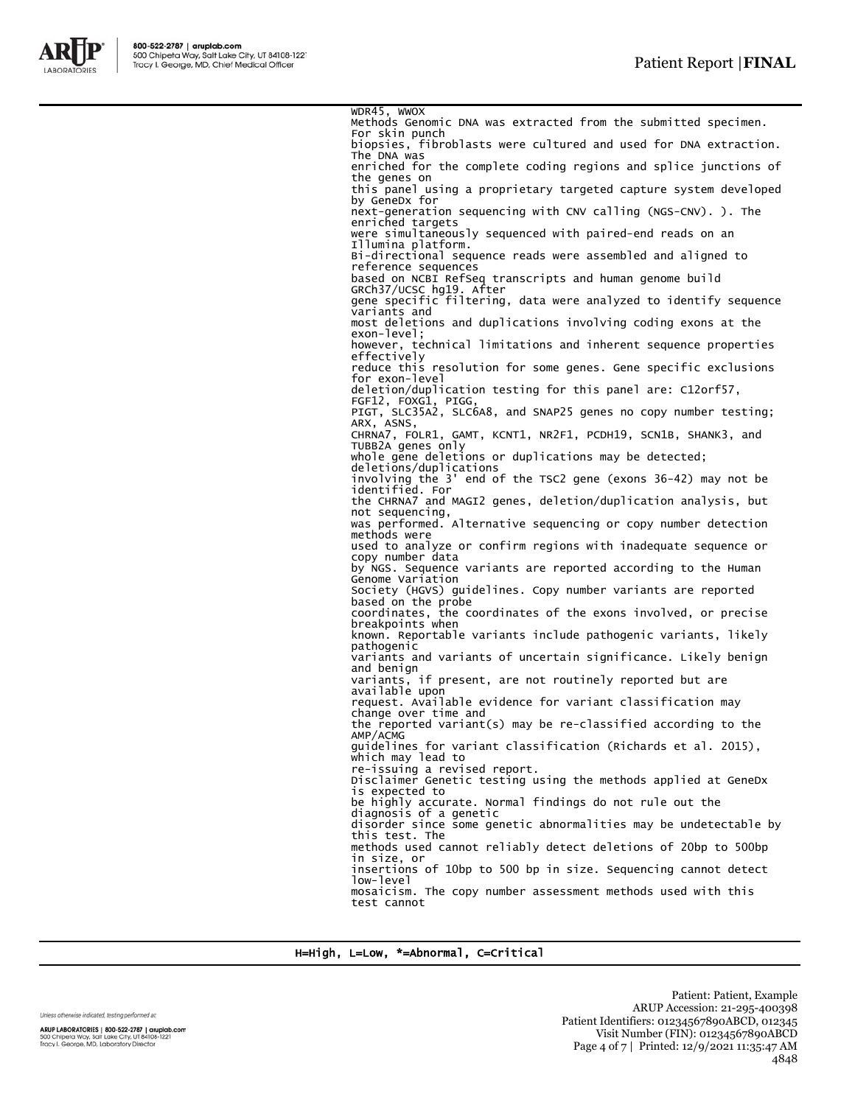

WDR45, WWOX Methods Genomic DNA was extracted from the submitted specimen. For skin punch biopsies, fibroblasts were cultured and used for DNA extraction. The DNA was enriched for the complete coding regions and splice junctions of the genes on this panel using a proprietary targeted capture system developed by GeneDx for next-generation sequencing with CNV calling (NGS-CNV). ). The enriched targets were simultaneously sequenced with paired-end reads on an Illumina platform. Bi-directional sequence reads were assembled and aligned to reference sequences based on NCBI RefSeq transcripts and human genome build GRCh37/UCSC hg19. After gene specific filtering, data were analyzed to identify sequence variants and most deletions and duplications involving coding exons at the exon-level; however, technical limitations and inherent sequence properties effectively reduce this resolution for some genes. Gene specific exclusions for exon-level deletion/duplication testing for this panel are: C12orf57, FGF12, FOXG1, PIGG, PIGT, SLC35A2, SLC6A8, and SNAP25 genes no copy number testing; PIGT, SLC3<br>ARX, ASNS, CHRNA7, FOLR1, GAMT, KCNT1, NR2F1, PCDH19, SCN1B, SHANK3, and TUBB2A genes only whole gene deletions or duplications may be detected; deletions/duplications involving the 3' end of the TSC2 gene (exons 36-42) may not be identified. For the CHRNA7 and MAGI2 genes, deletion/duplication analysis, but not sequencing, was performed. Alternative sequencing or copy number detection methods were used to analyze or confirm regions with inadequate sequence or copy number data by NGS. Sequence variants are reported according to the Human Genome Variation Society (HGVS) guidelines. Copy number variants are reported based on the probe coordinates, the coordinates of the exons involved, or precise breakpoints when known. Reportable variants include pathogenic variants, likely pathogenic variants and variants of uncertain significance. Likely benign and benign variants, if present, are not routinely reported but are available upon request. Available evidence for variant classification may change over time and the reported variant(s) may be re-classified according to the AMP/ACMG guidelines for variant classification (Richards et al. 2015), which may lead to re-issuing a revised report. Disclaimer Genetic testing using the methods applied at GeneDx is expected to be highly accurate. Normal findings do not rule out the diagnosis of a genetic disorder since some genetic abnormalities may be undetectable by this test. The methods used cannot reliably detect deletions of 20bp to 500bp in size, or insertions of 10bp to 500 bp in size. Sequencing cannot detect low-level<br>mosaicism. The copy number assessment methods used with this test cannot

H=High, L=Low, \*=Abnormal, C=Critical

Unless otherwise indicated, testing performed at:

ARUP LABORATORIES | 800-522-2787 | aruplab.com 500 Chipeta Way, Salt Lake City, UT 84108-1221<br>Tracy I. George, MD, Laboratory Director

Patient: Patient, Example ARUP Accession: 21-295-400398 Patient Identifiers: 01234567890ABCD, 012345 Visit Number (FIN): 01234567890ABCD Page 4 of 7 | Printed: 12/9/2021 11:35:47 AM 4848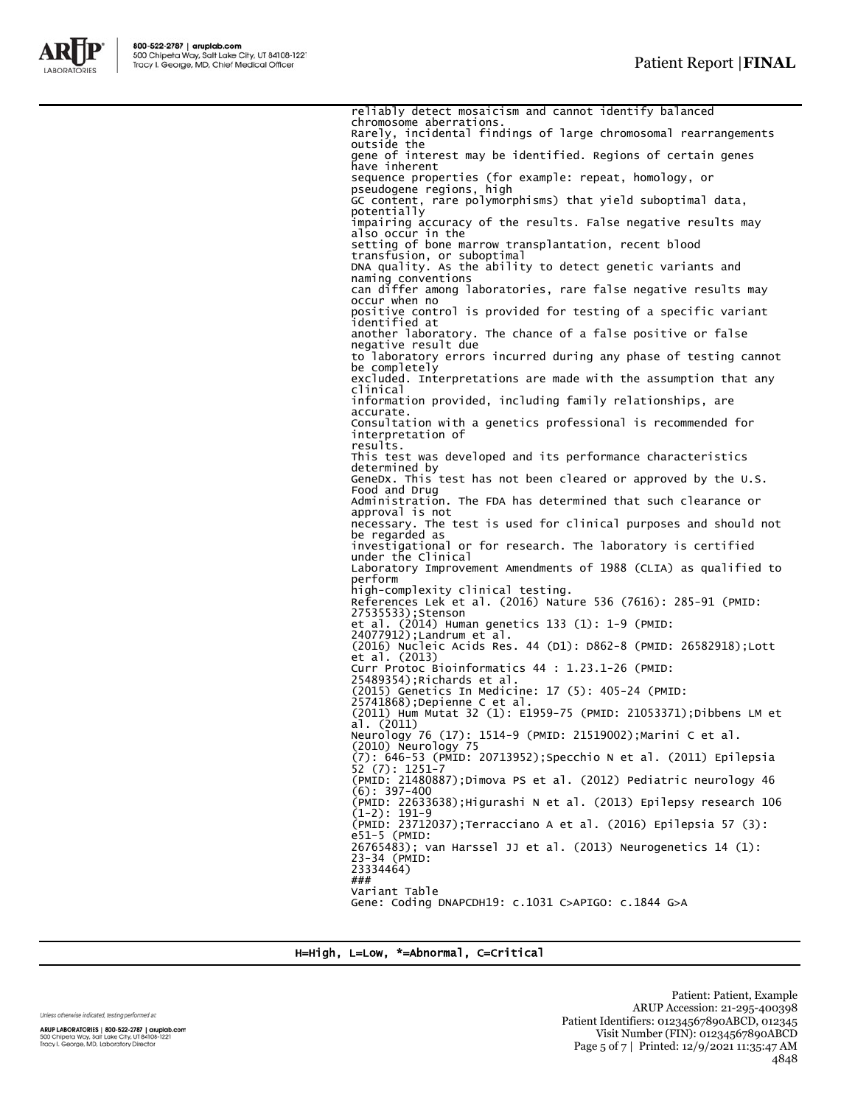

reliably detect mosaicism and cannot identify balanced chromosome aberrations. Rarely, incidental findings of large chromosomal rearrangements outside the gene of interest may be identified. Regions of certain genes have inherent sequence properties (for example: repeat, homology, or pseudogene regions, high GC content, rare polymorphisms) that yield suboptimal data, potentially impairing accuracy of the results. False negative results may also occur in the setting of bone marrow transplantation, recent blood transfusion, or suboptimal DNA quality. As the ability to detect genetic variants and naming conventions can differ among laboratories, rare false negative results may occur when no positive control is provided for testing of a specific variant identified at another laboratory. The chance of a false positive or false negative result due to laboratory errors incurred during any phase of testing cannot be completely excluded. Interpretations are made with the assumption that any clinical information provided, including family relationships, are accurate. Consultation with a genetics professional is recommended for interpretation of results. This test was developed and its performance characteristics determined by GeneDx. This test has not been cleared or approved by the U.S. Food and Drug Administration. The FDA has determined that such clearance or approval is not necessary. The test is used for clinical purposes and should not be regarded as investigational or for research. The laboratory is certified under the Clinical Laboratory Improvement Amendments of 1988 (CLIA) as qualified to perform high-complexity clinical testing.<br>References Lek et al. (2016) Nature 536 (7616): 285-91 (PMID:<br>27535533);Stenson<br>et al. (2014) Human genetics 133 (1): 1-9 (PMID:<br>24077912);Landrum et al.<br>(2016) Nucleic Acids Res. 44 (D1): et al. (2013) Curr Protoc Bioinformatics 44 : 1.23.1-26 (PMID: 25489354);Richards et al. (2015) Genetics In Medicine: 17 (5): 405-24 (PMID: 25741868);Depienne C et al. (2011) Hum Mutat 32 (1): E1959-75 (PMID: 21053371);Dibbens LM et  $a1.$  (2011) 1514-9 (PMID: 21519002);Marini C et al. Neurology 76 (17):<br>(2010) Neurology 75 (7): 646-53 (PMID: 20713952);Specchio N et al. (2011) Epilepsia 52 (7): 1251-7 (PMID: 21480887);Dimova PS et al. (2012) Pediatric neurology 46  $(6): 397-400$ (PMID: 22633638);Higurashi N et al. (2013) Epilepsy research 106 (1-2): 191-9 (PMID: 23712037);Terracciano A et al. (2016) Epilepsia 57 (3): e51-5 (PMID: 26765483); van Harssel JJ et al. (2013) Neurogenetics 14 (1): 23-34 (PMID: 23334464) ### Variant Table Gene: Coding DNAPCDH19: c.1031 C>APIGO: c.1844 G>A

H=High, L=Low, \*=Abnormal, C=Critical

Unless otherwise indicated, testing performed at:

ARUP LABORATORIES | 800-522-2787 | aruplab.com 500 Chipeta Way, Salt Lake City, UT 84108-1221<br>Tracy I. George, MD, Laboratory Director

Patient: Patient, Example ARUP Accession: 21-295-400398 Patient Identifiers: 01234567890ABCD, 012345 Visit Number (FIN): 01234567890ABCD Page 5 of 7 | Printed: 12/9/2021 11:35:47 AM 4848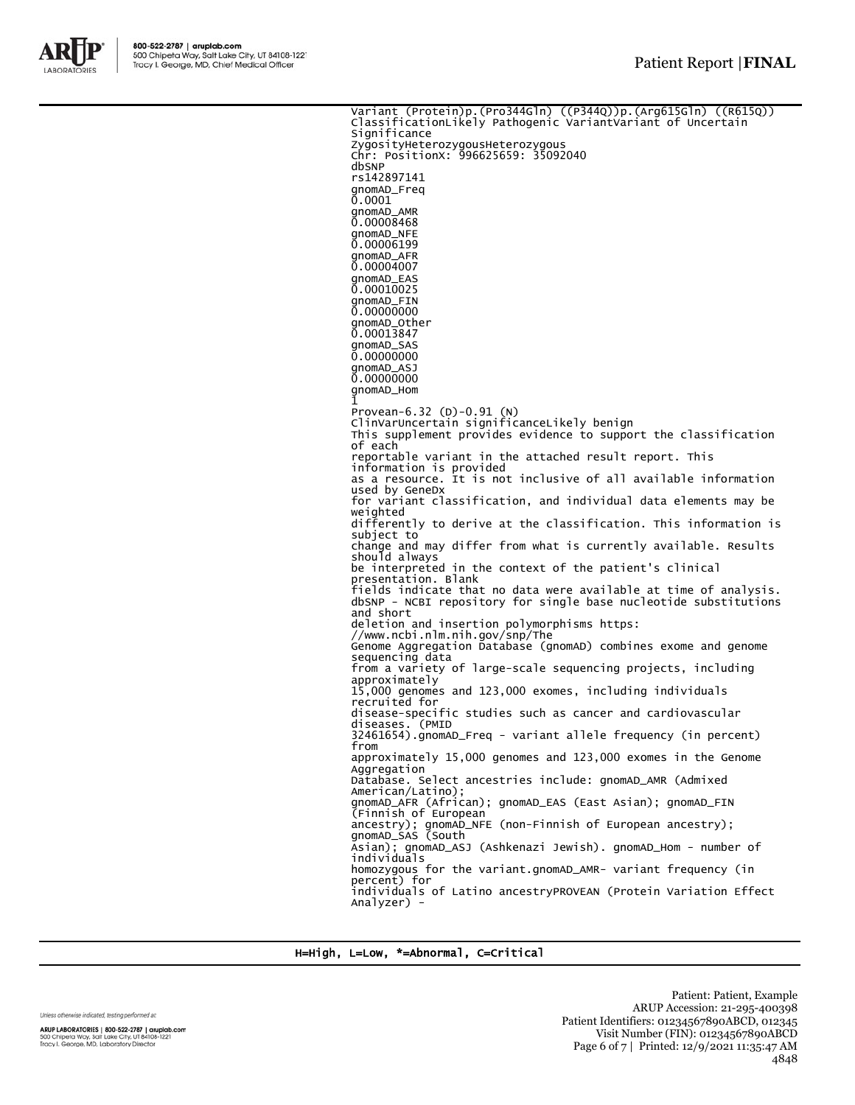

Variant (Protein)p.(Pro344Gln) ((P344Q))p.(Arg615Gln) ((R615Q)) ClassificationLikely Pathogenic VariantVariant of Uncertain **Significance** ZygosityHeterozygousHeterozygous Chr: PositionX: 996625659: 35092040 dbSNP rs142897141 gnomAD\_Freq 0.0001 gnomAD\_AMR 0.00008468 gnomAD\_NFE 0.00006199 gnomAD\_AFR 0.00004007 gnomAD\_EAS 0.00010025 gnomAD\_FIN 0.000000000 gnomAD\_Other 0.00013847 gnomAD\_SAS 0.00000000 gnomAD\_ASJ 0.000000000 gnomAD\_Hom 1 Provean-6.32 (D)-0.91 (N) ClinVarUncertain significanceLikely benign This supplement provides evidence to support the classification of each reportable variant in the attached result report. This information is provided as a resource. It is not inclusive of all available information used by GeneDx for variant classification, and individual data elements may be weighted differently to derive at the classification. This information is subject to change and may differ from what is currently available. Results should always be interpreted in the context of the patient's clinical presentation. Blank fields indicate that no data were available at time of analysis. dbSNP - NCBI repository for single base nucleotide substitutions and short deletion and insertion polymorphisms https: //www.ncbi.nlm.nih.gov/snp/The Genome Aggregation Database (gnomAD) combines exome and genome sequencing data from a variety of large-scale sequencing projects, including approximately 15,000 genomes and 123,000 exomes, including individuals recruited for disease-specific studies such as cancer and cardiovascular diseases. (PMID 32461654).gnomAD\_Freq - variant allele frequency (in percent) from approximately 15,000 genomes and 123,000 exomes in the Genome Aggregation Database. Select ancestries include: gnomAD\_AMR (Admixed American/Latino); gnomAD\_AFR (African); gnomAD\_EAS (East Asian); gnomAD\_FIN (Finnish of European ancestry); gnomAD\_NFE (non-Finnish of European ancestry); gnomAD\_SAS (South Asian); gnomAD\_ASJ (Ashkenazi Jewish). gnomAD\_Hom - number of individuals homozygous for the variant.gnomAD\_AMR- variant frequency (in percent) for individuals of Latino ancestryPROVEAN (Protein Variation Effect Analyzer) -

H=High, L=Low, \*=Abnormal, C=Critical

Unless otherwise indicated, testing performed at:

Patient: Patient, Example ARUP Accession: 21-295-400398 Patient Identifiers: 01234567890ABCD, 012345 Visit Number (FIN): 01234567890ABCD Page 6 of 7 | Printed: 12/9/2021 11:35:47 AM 4848